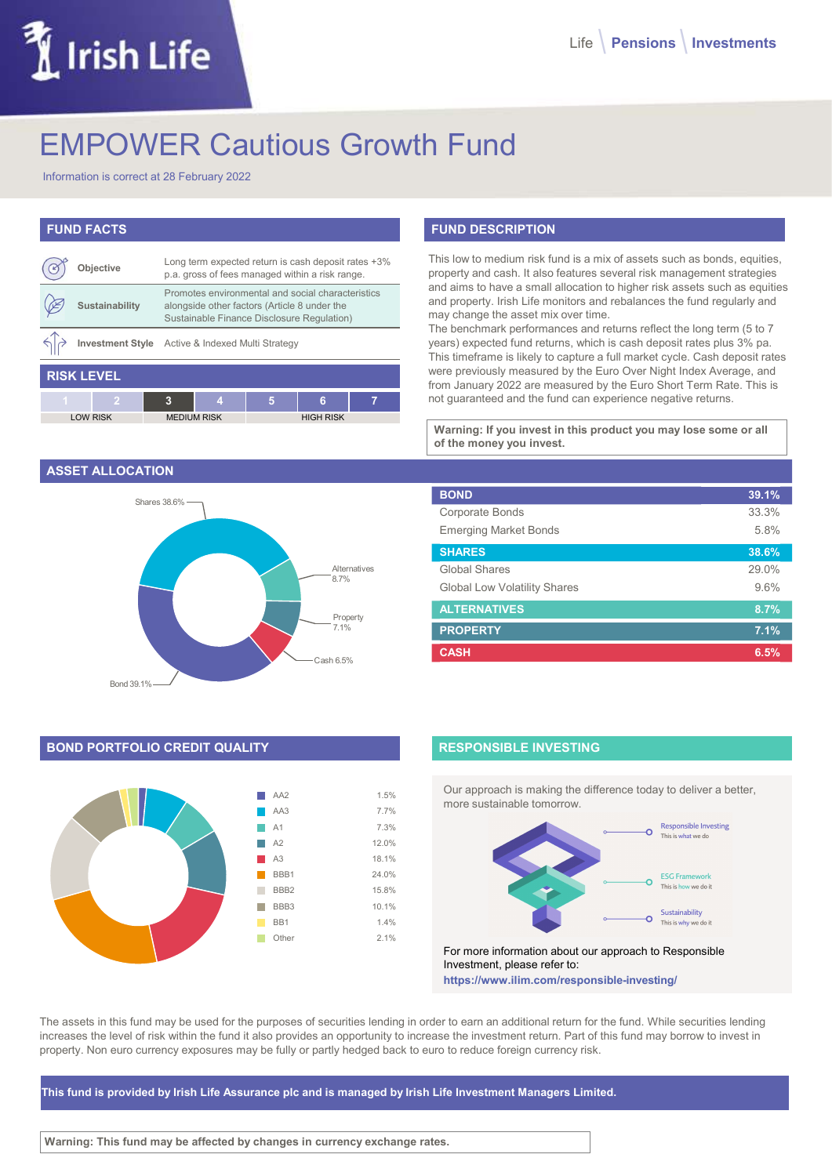# Irish Life

# EMPOWER Cautious Growth Fund

Information is correct at 28 February 2022

# FUND FACTS

|                   | Objective       |   | Long term expected return is cash deposit rates +3%<br>p.a. gross of fees managed within a risk range.                                          |   |                  |   |
|-------------------|-----------------|---|-------------------------------------------------------------------------------------------------------------------------------------------------|---|------------------|---|
|                   | Sustainability  |   | Promotes environmental and social characteristics<br>alongside other factors (Article 8 under the<br>Sustainable Finance Disclosure Regulation) |   |                  |   |
|                   |                 |   | Investment Style Active & Indexed Multi Strategy                                                                                                |   |                  |   |
| <b>RISK LEVEL</b> |                 |   |                                                                                                                                                 |   |                  |   |
| $\overline{1}$    |                 | 3 | 4                                                                                                                                               | 5 | 6                | 7 |
|                   | <b>LOW RISK</b> |   | <b>MEDIUM RISK</b>                                                                                                                              |   | <b>HIGH RISK</b> |   |

#### ASSET ALLOCATION



# BOND PORTFOLIO CREDIT QUALITY



# FUND DESCRIPTION

| deposit rates +3%<br>a risk range. | This low to medium risk fund is a mix of assets such as bonds, equities,<br>property and cash. It also features several risk management strategies    |       |  |  |
|------------------------------------|-------------------------------------------------------------------------------------------------------------------------------------------------------|-------|--|--|
| characteristics<br>der the         | and aims to have a small allocation to higher risk assets such as equities<br>and property. Irish Life monitors and rebalances the fund regularly and |       |  |  |
| gulation)                          | may change the asset mix over time.<br>The benchmark performances and returns reflect the long term (5 to 7                                           |       |  |  |
|                                    | years) expected fund returns, which is cash deposit rates plus 3% pa.<br>This timeframe is likely to capture a full market cycle. Cash deposit rates  |       |  |  |
|                                    | were previously measured by the Euro Over Night Index Average, and                                                                                    |       |  |  |
|                                    | from January 2022 are measured by the Euro Short Term Rate. This is<br>not guaranteed and the fund can experience negative returns.                   |       |  |  |
| 7                                  |                                                                                                                                                       |       |  |  |
|                                    |                                                                                                                                                       |       |  |  |
|                                    | Warning: If you invest in this product you may lose some or all                                                                                       |       |  |  |
| <b>SH RISK</b>                     | of the money you invest.                                                                                                                              |       |  |  |
|                                    |                                                                                                                                                       |       |  |  |
|                                    | <b>BOND</b>                                                                                                                                           | 39.1% |  |  |
|                                    | Corporate Bonds                                                                                                                                       | 33.3% |  |  |
|                                    | <b>Emerging Market Bonds</b>                                                                                                                          | 5.8%  |  |  |
|                                    | <b>SHARES</b>                                                                                                                                         | 38.6% |  |  |
| Alternatives                       | Global Shares                                                                                                                                         | 29.0% |  |  |
| 8.7%                               | <b>Global Low Volatility Shares</b>                                                                                                                   | 9.6%  |  |  |
|                                    | <b>ALTERNATIVES</b>                                                                                                                                   | 8.7%  |  |  |
| Property<br>7.1%                   | <b>PROPERTY</b>                                                                                                                                       | 7.1%  |  |  |

## RESPONSIBLE INVESTING

Our approach is making the difference today to deliver a better, more sustainable tomorrow.



For more information about our approach to Responsible Investment, please refer to: https://www.ilim.com/responsible-investing/

The assets in this fund may be used for the purposes of securities lending in order to earn an additional return for the fund. While securities lending increases the level of risk within the fund it also provides an opportunity to increase the investment return. Part of this fund may borrow to invest in property. Non euro currency exposures may be fully or partly hedged back to euro to reduce foreign currency risk.

This fund is provided by Irish Life Assurance plc and is managed by Irish Life Investment Managers Limited.

Warning: This fund may be affected by changes in currency exchange rates.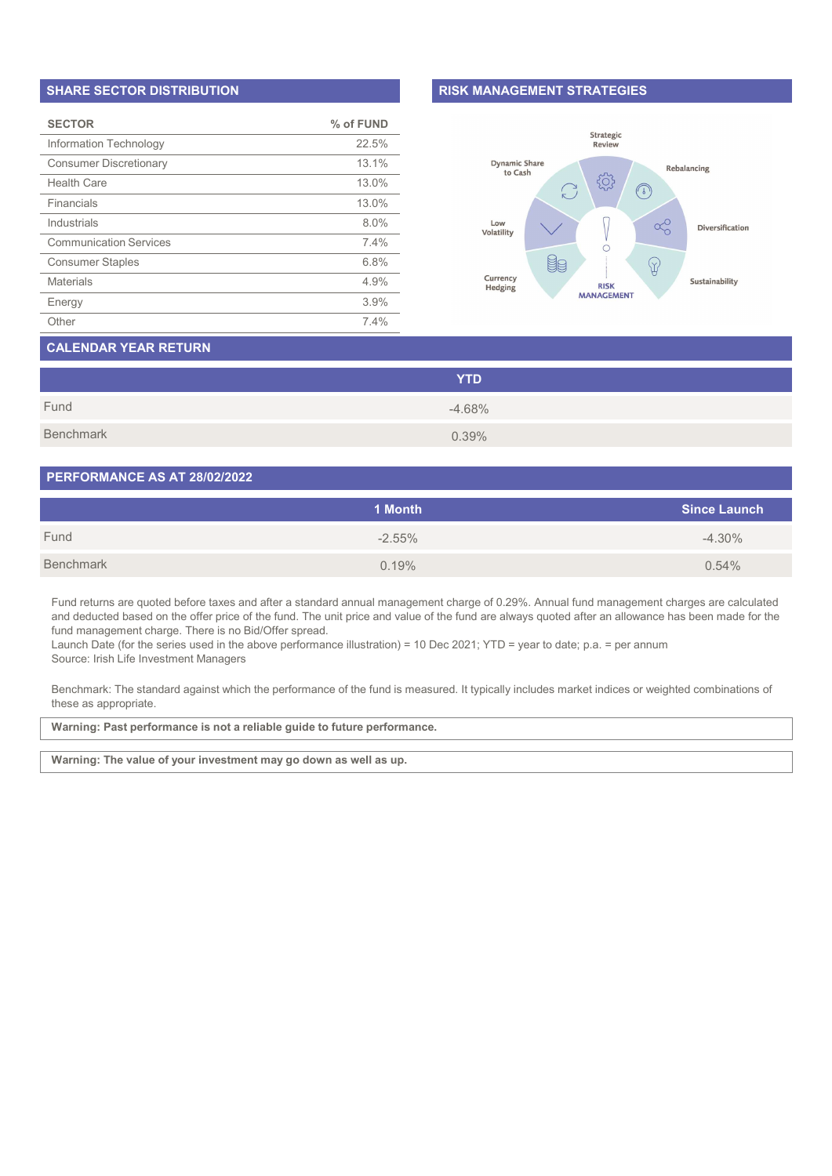#### SHARE SECTOR DISTRIBUTION

| <b>SECTOR</b>                 | % of FUND |
|-------------------------------|-----------|
| Information Technology        | 22.5%     |
| <b>Consumer Discretionary</b> | 13.1%     |
| <b>Health Care</b>            | 13.0%     |
| Financials                    | 13.0%     |
| Industrials                   | 8.0%      |
| <b>Communication Services</b> | 7.4%      |
| <b>Consumer Staples</b>       | 6.8%      |
| <b>Materials</b>              | 4.9%      |
| Energy                        | 3.9%      |
| Other                         | 7.4%      |

#### RISK MANAGEMENT STRATEGIES



# CALENDAR YEAR RETURN

|           | <b>YTD</b> |  |
|-----------|------------|--|
| Fund      | $-4.68%$   |  |
| Benchmark | 0.39%      |  |

#### PERFORMANCE AS AT 28/02/2022

|           | 1 Month  | <b>Since Launch</b> |
|-----------|----------|---------------------|
| Fund      | $-2.55%$ | $-4.30\%$           |
| Benchmark | 0.19%    | 0.54%               |

Fund returns are quoted before taxes and after a standard annual management charge of 0.29%. Annual fund management charges are calculated and deducted based on the offer price of the fund. The unit price and value of the fund are always quoted after an allowance has been made for the fund management charge. There is no Bid/Offer spread.

Launch Date (for the series used in the above performance illustration) = 10 Dec 2021; YTD = year to date; p.a. = per annum Source: Irish Life Investment Managers

Benchmark: The standard against which the performance of the fund is measured. It typically includes market indices or weighted combinations of these as appropriate.

Warning: Past performance is not a reliable guide to future performance.

Warning: The value of your investment may go down as well as up.